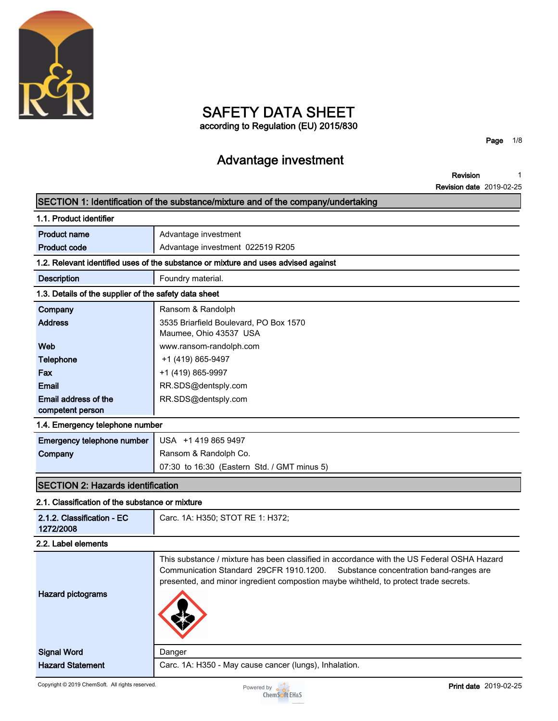

# **SAFETY DATA SHEET**

**according to Regulation (EU) 2015/830**

**Page 1/8**

# **Advantage investment**

**Revision 1**

**Revision date 2019-02-25**

|                                                       | SECTION 1: Identification of the substance/mixture and of the company/undertaking                                                                                                                                                                                        |
|-------------------------------------------------------|--------------------------------------------------------------------------------------------------------------------------------------------------------------------------------------------------------------------------------------------------------------------------|
| 1.1. Product identifier                               |                                                                                                                                                                                                                                                                          |
| <b>Product name</b>                                   | Advantage investment                                                                                                                                                                                                                                                     |
| <b>Product code</b>                                   | Advantage investment 022519 R205                                                                                                                                                                                                                                         |
|                                                       | 1.2. Relevant identified uses of the substance or mixture and uses advised against                                                                                                                                                                                       |
| <b>Description</b>                                    | Foundry material.                                                                                                                                                                                                                                                        |
| 1.3. Details of the supplier of the safety data sheet |                                                                                                                                                                                                                                                                          |
| Company                                               | Ransom & Randolph                                                                                                                                                                                                                                                        |
| <b>Address</b>                                        | 3535 Briarfield Boulevard, PO Box 1570                                                                                                                                                                                                                                   |
|                                                       | Maumee, Ohio 43537 USA                                                                                                                                                                                                                                                   |
| Web                                                   | www.ransom-randolph.com                                                                                                                                                                                                                                                  |
| <b>Telephone</b>                                      | +1 (419) 865-9497                                                                                                                                                                                                                                                        |
| Fax                                                   | +1 (419) 865-9997                                                                                                                                                                                                                                                        |
| Email                                                 | RR.SDS@dentsply.com                                                                                                                                                                                                                                                      |
| Email address of the                                  | RR.SDS@dentsply.com                                                                                                                                                                                                                                                      |
| competent person                                      |                                                                                                                                                                                                                                                                          |
| 1.4. Emergency telephone number                       |                                                                                                                                                                                                                                                                          |
| Emergency telephone number                            | USA +1 419 865 9497                                                                                                                                                                                                                                                      |
| Company                                               | Ransom & Randolph Co.                                                                                                                                                                                                                                                    |
|                                                       | 07:30 to 16:30 (Eastern Std. / GMT minus 5)                                                                                                                                                                                                                              |
| <b>SECTION 2: Hazards identification</b>              |                                                                                                                                                                                                                                                                          |
| 2.1. Classification of the substance or mixture       |                                                                                                                                                                                                                                                                          |
| 2.1.2. Classification - EC                            | Carc. 1A: H350; STOT RE 1: H372;                                                                                                                                                                                                                                         |
| 1272/2008                                             |                                                                                                                                                                                                                                                                          |
| 2.2. Label elements                                   |                                                                                                                                                                                                                                                                          |
| <b>Hazard pictograms</b>                              | This substance / mixture has been classified in accordance with the US Federal OSHA Hazard<br>Communication Standard 29CFR 1910.1200.<br>Substance concentration band-ranges are<br>presented, and minor ingredient compostion maybe wihtheld, to protect trade secrets. |
|                                                       |                                                                                                                                                                                                                                                                          |
| <b>Signal Word</b>                                    | Danger                                                                                                                                                                                                                                                                   |
| <b>Hazard Statement</b>                               | Carc. 1A: H350 - May cause cancer (lungs), Inhalation.                                                                                                                                                                                                                   |
| Copyright © 2019 ChemSoft. All rights reserved.       | Print date 2019-02-25<br>Powered by $\sim$                                                                                                                                                                                                                               |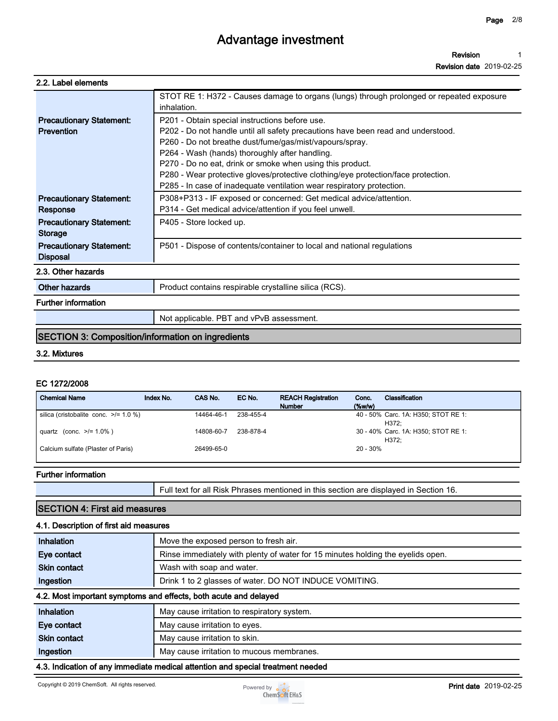**Revision date 2019-02-25**

| 2.2. Label elements |  |
|---------------------|--|
|---------------------|--|

|                                                          | STOT RE 1: H372 - Causes damage to organs (lungs) through prolonged or repeated exposure<br>inhalation.                                                                                                                                                                                                                                                                                                                                                                    |
|----------------------------------------------------------|----------------------------------------------------------------------------------------------------------------------------------------------------------------------------------------------------------------------------------------------------------------------------------------------------------------------------------------------------------------------------------------------------------------------------------------------------------------------------|
| <b>Precautionary Statement:</b><br><b>Prevention</b>     | P201 - Obtain special instructions before use.<br>P202 - Do not handle until all safety precautions have been read and understood.<br>P260 - Do not breathe dust/fume/gas/mist/vapours/spray.<br>P264 - Wash (hands) thoroughly after handling.<br>P270 - Do no eat, drink or smoke when using this product.<br>P280 - Wear protective gloves/protective clothing/eye protection/face protection.<br>P285 - In case of inadequate ventilation wear respiratory protection. |
| <b>Precautionary Statement:</b><br>Response              | P308+P313 - IF exposed or concerned: Get medical advice/attention.<br>P314 - Get medical advice/attention if you feel unwell.                                                                                                                                                                                                                                                                                                                                              |
| <b>Precautionary Statement:</b><br><b>Storage</b>        | P405 - Store locked up.                                                                                                                                                                                                                                                                                                                                                                                                                                                    |
| <b>Precautionary Statement:</b><br><b>Disposal</b>       | P501 - Dispose of contents/container to local and national regulations                                                                                                                                                                                                                                                                                                                                                                                                     |
| 2.3. Other hazards                                       |                                                                                                                                                                                                                                                                                                                                                                                                                                                                            |
| Other hazards                                            | Product contains respirable crystalline silica (RCS).                                                                                                                                                                                                                                                                                                                                                                                                                      |
| <b>Further information</b>                               |                                                                                                                                                                                                                                                                                                                                                                                                                                                                            |
|                                                          | Not applicable. PBT and vPvB assessment.                                                                                                                                                                                                                                                                                                                                                                                                                                   |
| <b>SECTION 3: Composition/information on ingredients</b> |                                                                                                                                                                                                                                                                                                                                                                                                                                                                            |

### **3.2. Mixtures**

#### **EC 1272/2008**

| <b>Chemical Name</b>                       | Index No. | CAS No.    | EC No.    | <b>REACH Registration</b><br><b>Number</b> | Conc.<br>$(\%w/w)$ | Classification                               |
|--------------------------------------------|-----------|------------|-----------|--------------------------------------------|--------------------|----------------------------------------------|
| silica (cristobalite conc. $\ge$ /= 1.0 %) |           | 14464-46-1 | 238-455-4 |                                            |                    | 40 - 50% Carc. 1A: H350; STOT RE 1:<br>H372: |
| quartz (conc. $>1.0\%$ )                   |           | 14808-60-7 | 238-878-4 |                                            |                    | 30 - 40% Carc. 1A: H350; STOT RE 1:<br>H372: |
| Calcium sulfate (Plaster of Paris)         |           | 26499-65-0 |           |                                            | 20 - 30%           |                                              |

#### **Further information**

**Full text for all Risk Phrases mentioned in this section are displayed in Section 16.**

### **SECTION 4: First aid measures**

#### **4.1. Description of first aid measures**

| Inhalation          | Move the exposed person to fresh air.                                           |
|---------------------|---------------------------------------------------------------------------------|
| Eye contact         | Rinse immediately with plenty of water for 15 minutes holding the eyelids open. |
| <b>Skin contact</b> | Wash with soap and water.                                                       |
| Ingestion           | Drink 1 to 2 glasses of water. DO NOT INDUCE VOMITING.                          |
|                     | A.O. Maatikaan alamaan argamaan ah affaata laatta aa dala dalayaa d             |

#### **4.2. Most important symptoms and effects, both acute and delayed**

| Inhalation          | May cause irritation to respiratory system. |
|---------------------|---------------------------------------------|
| Eye contact         | May cause irritation to eyes.               |
| <b>Skin contact</b> | May cause irritation to skin.               |
| Ingestion           | May cause irritation to mucous membranes.   |
| .                   |                                             |

#### **4.3. Indication of any immediate medical attention and special treatment needed**

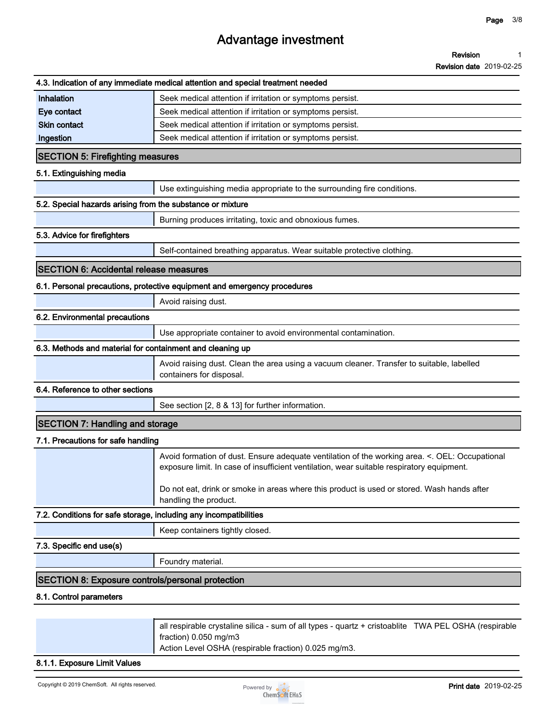#### **Revision 1**

**Revision date 2019-02-25**

|                                                                   | 4.3. Indication of any immediate medical attention and special treatment needed                                                                                                             |
|-------------------------------------------------------------------|---------------------------------------------------------------------------------------------------------------------------------------------------------------------------------------------|
| Inhalation                                                        | Seek medical attention if irritation or symptoms persist.                                                                                                                                   |
| Eye contact                                                       | Seek medical attention if irritation or symptoms persist.                                                                                                                                   |
| <b>Skin contact</b>                                               | Seek medical attention if irritation or symptoms persist.                                                                                                                                   |
| Ingestion                                                         | Seek medical attention if irritation or symptoms persist.                                                                                                                                   |
| <b>SECTION 5: Firefighting measures</b>                           |                                                                                                                                                                                             |
| 5.1. Extinguishing media                                          |                                                                                                                                                                                             |
|                                                                   | Use extinguishing media appropriate to the surrounding fire conditions.                                                                                                                     |
| 5.2. Special hazards arising from the substance or mixture        |                                                                                                                                                                                             |
|                                                                   | Burning produces irritating, toxic and obnoxious fumes.                                                                                                                                     |
| 5.3. Advice for firefighters                                      |                                                                                                                                                                                             |
|                                                                   | Self-contained breathing apparatus. Wear suitable protective clothing.                                                                                                                      |
| <b>SECTION 6: Accidental release measures</b>                     |                                                                                                                                                                                             |
|                                                                   | 6.1. Personal precautions, protective equipment and emergency procedures                                                                                                                    |
|                                                                   | Avoid raising dust.                                                                                                                                                                         |
| 6.2. Environmental precautions                                    |                                                                                                                                                                                             |
|                                                                   | Use appropriate container to avoid environmental contamination.                                                                                                                             |
| 6.3. Methods and material for containment and cleaning up         |                                                                                                                                                                                             |
|                                                                   | Avoid raising dust. Clean the area using a vacuum cleaner. Transfer to suitable, labelled<br>containers for disposal.                                                                       |
| 6.4. Reference to other sections                                  |                                                                                                                                                                                             |
|                                                                   | See section [2, 8 & 13] for further information.                                                                                                                                            |
| <b>SECTION 7: Handling and storage</b>                            |                                                                                                                                                                                             |
| 7.1. Precautions for safe handling                                |                                                                                                                                                                                             |
|                                                                   | Avoid formation of dust. Ensure adequate ventilation of the working area. <. OEL: Occupational<br>exposure limit. In case of insufficient ventilation, wear suitable respiratory equipment. |
|                                                                   | Do not eat, drink or smoke in areas where this product is used or stored. Wash hands after<br>handling the product.                                                                         |
| 7.2. Conditions for safe storage, including any incompatibilities |                                                                                                                                                                                             |
|                                                                   | Keep containers tightly closed.                                                                                                                                                             |
| 7.3. Specific end use(s)                                          |                                                                                                                                                                                             |
|                                                                   | Foundry material.                                                                                                                                                                           |
| <b>SECTION 8: Exposure controls/personal protection</b>           |                                                                                                                                                                                             |
| 8.1. Control parameters                                           |                                                                                                                                                                                             |
|                                                                   |                                                                                                                                                                                             |
|                                                                   | all respirable crystaline silica - sum of all types - quartz + cristoablite TWA PEL OSHA (respirable                                                                                        |

**fraction) 0.050 mg/m3**

**Action Level OSHA (respirable fraction) 0.025 mg/m3.**

### **8.1.1. Exposure Limit Values**

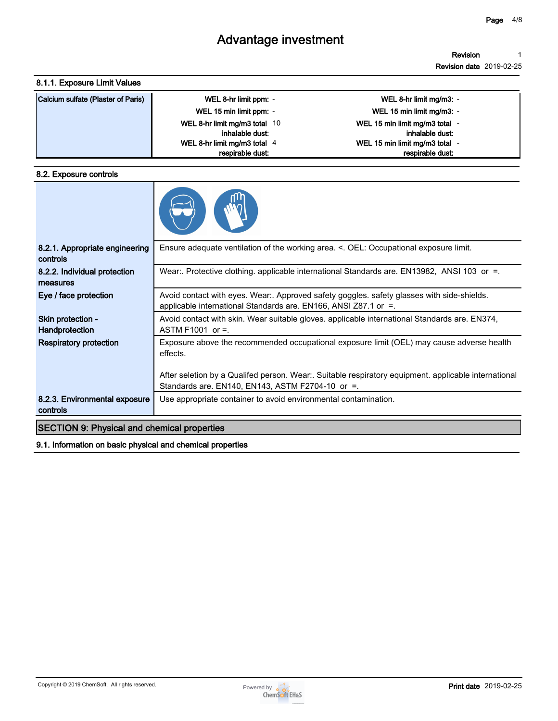**Revision 1**

**Revision date 2019-02-25**

### **8.1.1. Exposure Limit Values**

| Calcium sulfate (Plaster of Paris) | WEL 8-hr limit ppm: -         | WEL 8-hr limit mg/m3: -        |
|------------------------------------|-------------------------------|--------------------------------|
|                                    | WEL 15 min limit ppm: -       | WEL 15 min limit mg/m3: -      |
|                                    | WEL 8-hr limit mg/m3 total 10 | WEL 15 min limit mg/m3 total - |
|                                    | inhalable dust:               | inhalable dust:                |
|                                    | WEL 8-hr limit mg/m3 total 4  | WEL 15 min limit mg/m3 total - |
|                                    | respirable dust:              | respirable dust:               |

#### **8.2. Exposure controls**

| 8.2.1. Appropriate engineering<br>controls         | Ensure adequate ventilation of the working area. <. OEL: Occupational exposure limit.                                                                            |
|----------------------------------------------------|------------------------------------------------------------------------------------------------------------------------------------------------------------------|
| 8.2.2. Individual protection<br>measures           | Wear:. Protective clothing. applicable international Standards are. EN13982, ANSI 103 or =.                                                                      |
| Eye / face protection                              | Avoid contact with eyes. Wear:. Approved safety goggles. safety glasses with side-shields.<br>applicable international Standards are. EN166, ANSI Z87.1 or $=$ . |
| Skin protection -<br>Handprotection                | Avoid contact with skin. Wear suitable gloves. applicable international Standards are. EN374,<br>ASTM F1001 or $=$ .                                             |
| <b>Respiratory protection</b>                      | Exposure above the recommended occupational exposure limit (OEL) may cause adverse health<br>effects.                                                            |
|                                                    | After seletion by a Qualifed person. Wear:. Suitable respiratory equipment. applicable international<br>Standards are. EN140, EN143, ASTM F2704-10 or =.         |
| 8.2.3. Environmental exposure<br>controls          | Use appropriate container to avoid environmental contamination.                                                                                                  |
| <b>SECTION 9: Physical and chemical properties</b> |                                                                                                                                                                  |

**9.1. Information on basic physical and chemical properties**

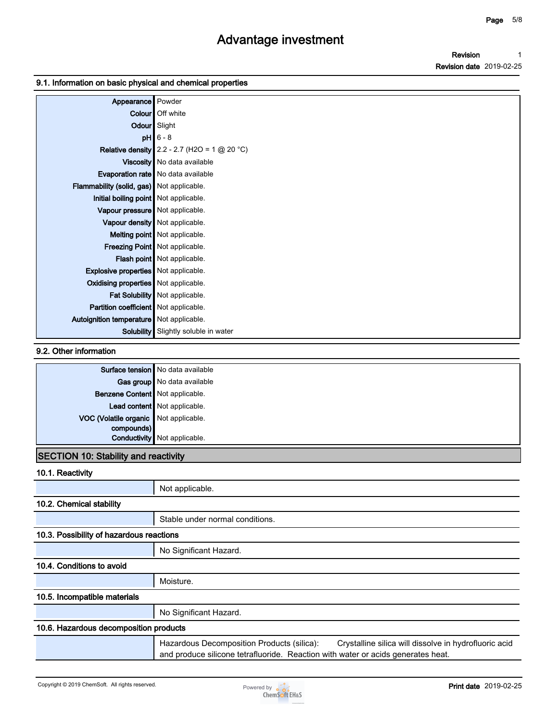**Revision Revision date 2019-02-25 1**

#### **9.1. Information on basic physical and chemical properties**

| Appearance Powder                          |                                                       |
|--------------------------------------------|-------------------------------------------------------|
|                                            | <b>Colour</b> Off white                               |
|                                            | Odour Slight                                          |
|                                            | $pH$ 6 - 8                                            |
|                                            | <b>Relative density</b> 2.2 - 2.7 (H2O = 1 $@$ 20 °C) |
|                                            | Viscosity   No data available                         |
|                                            | Evaporation rate   No data available                  |
| Flammability (solid, gas) Not applicable.  |                                                       |
| Initial boiling point Not applicable.      |                                                       |
| Vapour pressure   Not applicable.          |                                                       |
|                                            | Vapour density   Not applicable.                      |
|                                            | Melting point Not applicable.                         |
|                                            | Freezing Point Not applicable.                        |
|                                            | Flash point Not applicable.                           |
| Explosive properties   Not applicable.     |                                                       |
| Oxidising properties   Not applicable.     |                                                       |
|                                            | Fat Solubility Not applicable.                        |
| Partition coefficient   Not applicable.    |                                                       |
| Autoignition temperature   Not applicable. |                                                       |
|                                            | <b>Solubility</b> Slightly soluble in water           |

#### **9.2. Other information**

|                                       | <b>Surface tension</b> No data available |
|---------------------------------------|------------------------------------------|
|                                       | Gas group   No data available            |
| Benzene Content Not applicable.       |                                          |
|                                       | Lead content Not applicable.             |
| VOC (Volatile organic Not applicable. |                                          |
| compounds)                            |                                          |
|                                       | <b>Conductivity</b> Not applicable.      |

### **SECTION 10: Stability and reactivity**

**10.1. Reactivity**

|                                          | Not applicable.                                                                                                                                                                         |
|------------------------------------------|-----------------------------------------------------------------------------------------------------------------------------------------------------------------------------------------|
| 10.2. Chemical stability                 |                                                                                                                                                                                         |
|                                          | Stable under normal conditions.                                                                                                                                                         |
| 10.3. Possibility of hazardous reactions |                                                                                                                                                                                         |
|                                          | No Significant Hazard.                                                                                                                                                                  |
| 10.4. Conditions to avoid                |                                                                                                                                                                                         |
|                                          | Moisture.                                                                                                                                                                               |
| 10.5. Incompatible materials             |                                                                                                                                                                                         |
|                                          | No Significant Hazard.                                                                                                                                                                  |
| 10.6. Hazardous decomposition products   |                                                                                                                                                                                         |
|                                          | Hazardous Decomposition Products (silica):<br>Crystalline silica will dissolve in hydrofluoric acid<br>and produce silicone tetrafluoride. Reaction with water or acids generates heat. |
|                                          |                                                                                                                                                                                         |

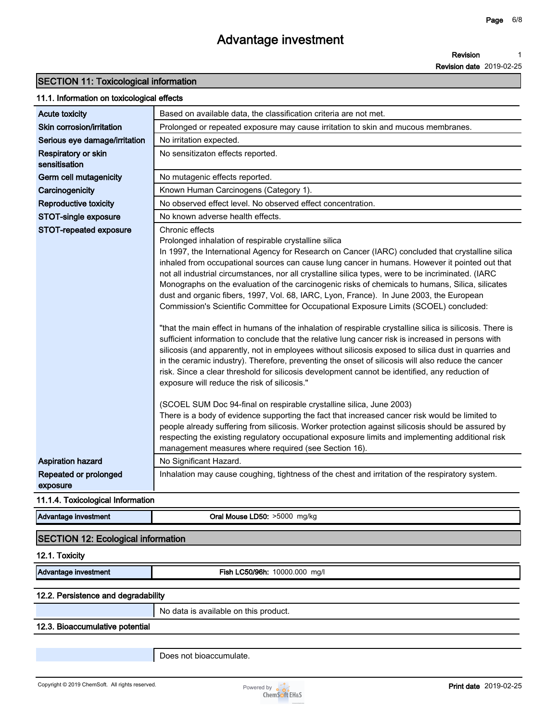### **SECTION 11: Toxicological information**

#### **11.1. Information on toxicological effects**

| <b>Acute toxicity</b>                | Based on available data, the classification criteria are not met.                                                                                                                                                                                                                                                                                                                                                                                                                                                                                                                                                                                                                                                                                                                                                                                                                                                                                                                                                                                                                                                                                                                                                                                                |
|--------------------------------------|------------------------------------------------------------------------------------------------------------------------------------------------------------------------------------------------------------------------------------------------------------------------------------------------------------------------------------------------------------------------------------------------------------------------------------------------------------------------------------------------------------------------------------------------------------------------------------------------------------------------------------------------------------------------------------------------------------------------------------------------------------------------------------------------------------------------------------------------------------------------------------------------------------------------------------------------------------------------------------------------------------------------------------------------------------------------------------------------------------------------------------------------------------------------------------------------------------------------------------------------------------------|
| Skin corrosion/irritation            | Prolonged or repeated exposure may cause irritation to skin and mucous membranes.                                                                                                                                                                                                                                                                                                                                                                                                                                                                                                                                                                                                                                                                                                                                                                                                                                                                                                                                                                                                                                                                                                                                                                                |
| Serious eye damage/irritation        | No irritation expected.                                                                                                                                                                                                                                                                                                                                                                                                                                                                                                                                                                                                                                                                                                                                                                                                                                                                                                                                                                                                                                                                                                                                                                                                                                          |
| Respiratory or skin<br>sensitisation | No sensitizaton effects reported.                                                                                                                                                                                                                                                                                                                                                                                                                                                                                                                                                                                                                                                                                                                                                                                                                                                                                                                                                                                                                                                                                                                                                                                                                                |
| Germ cell mutagenicity               | No mutagenic effects reported.                                                                                                                                                                                                                                                                                                                                                                                                                                                                                                                                                                                                                                                                                                                                                                                                                                                                                                                                                                                                                                                                                                                                                                                                                                   |
| Carcinogenicity                      | Known Human Carcinogens (Category 1).                                                                                                                                                                                                                                                                                                                                                                                                                                                                                                                                                                                                                                                                                                                                                                                                                                                                                                                                                                                                                                                                                                                                                                                                                            |
| <b>Reproductive toxicity</b>         | No observed effect level. No observed effect concentration.                                                                                                                                                                                                                                                                                                                                                                                                                                                                                                                                                                                                                                                                                                                                                                                                                                                                                                                                                                                                                                                                                                                                                                                                      |
| STOT-single exposure                 | No known adverse health effects.                                                                                                                                                                                                                                                                                                                                                                                                                                                                                                                                                                                                                                                                                                                                                                                                                                                                                                                                                                                                                                                                                                                                                                                                                                 |
| STOT-repeated exposure               | Chronic effects<br>Prolonged inhalation of respirable crystalline silica<br>In 1997, the International Agency for Research on Cancer (IARC) concluded that crystalline silica<br>inhaled from occupational sources can cause lung cancer in humans. However it pointed out that<br>not all industrial circumstances, nor all crystalline silica types, were to be incriminated. (IARC<br>Monographs on the evaluation of the carcinogenic risks of chemicals to humans, Silica, silicates<br>dust and organic fibers, 1997, Vol. 68, IARC, Lyon, France). In June 2003, the European<br>Commission's Scientific Committee for Occupational Exposure Limits (SCOEL) concluded:<br>"that the main effect in humans of the inhalation of respirable crystalline silica is silicosis. There is<br>sufficient information to conclude that the relative lung cancer risk is increased in persons with<br>silicosis (and apparently, not in employees without silicosis exposed to silica dust in quarries and<br>in the ceramic industry). Therefore, preventing the onset of silicosis will also reduce the cancer<br>risk. Since a clear threshold for silicosis development cannot be identified, any reduction of<br>exposure will reduce the risk of silicosis." |
|                                      | (SCOEL SUM Doc 94-final on respirable crystalline silica, June 2003)<br>There is a body of evidence supporting the fact that increased cancer risk would be limited to<br>people already suffering from silicosis. Worker protection against silicosis should be assured by<br>respecting the existing regulatory occupational exposure limits and implementing additional risk<br>management measures where required (see Section 16).                                                                                                                                                                                                                                                                                                                                                                                                                                                                                                                                                                                                                                                                                                                                                                                                                          |
| <b>Aspiration hazard</b>             | No Significant Hazard.                                                                                                                                                                                                                                                                                                                                                                                                                                                                                                                                                                                                                                                                                                                                                                                                                                                                                                                                                                                                                                                                                                                                                                                                                                           |
| Repeated or prolonged<br>exposure    | Inhalation may cause coughing, tightness of the chest and irritation of the respiratory system.                                                                                                                                                                                                                                                                                                                                                                                                                                                                                                                                                                                                                                                                                                                                                                                                                                                                                                                                                                                                                                                                                                                                                                  |

#### **11.1.4. Toxicological Information**

| Advantage investment                      | Oral Mouse LD50: >5000 mg/kg |  |
|-------------------------------------------|------------------------------|--|
| <b>SECTION 12: Ecological information</b> |                              |  |

#### **12.1. Toxicity**

**Advantage investment Fish LC50/96h: 10000.000 mg/l**

#### **12.2. Persistence and degradability**

**No data is available on this product.**

#### **12.3. Bioaccumulative potential**

**Does not bioaccumulate.**

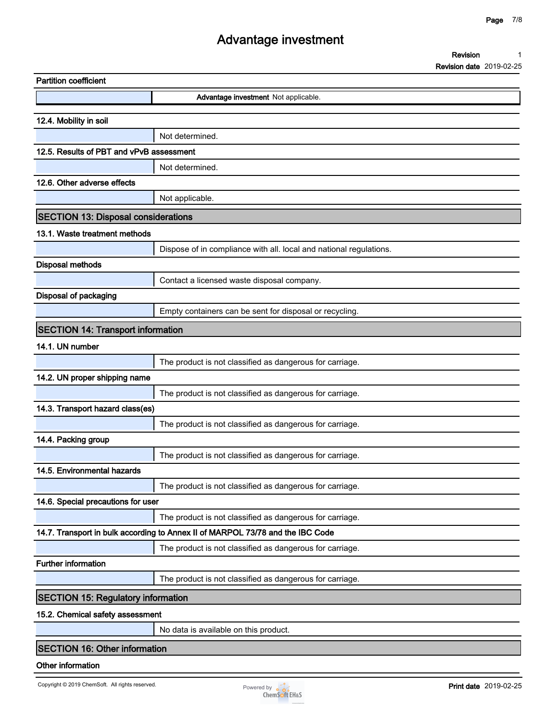| Revision |  |
|----------|--|
|----------|--|

**Revision date 2019-02-25**

| <b>Partition coefficient</b>               |                                                                                |  |
|--------------------------------------------|--------------------------------------------------------------------------------|--|
|                                            | Advantage investment Not applicable.                                           |  |
| 12.4. Mobility in soil                     |                                                                                |  |
|                                            | Not determined.                                                                |  |
| 12.5. Results of PBT and vPvB assessment   |                                                                                |  |
|                                            | Not determined.                                                                |  |
| 12.6. Other adverse effects                |                                                                                |  |
|                                            | Not applicable.                                                                |  |
| <b>SECTION 13: Disposal considerations</b> |                                                                                |  |
| 13.1. Waste treatment methods              |                                                                                |  |
|                                            | Dispose of in compliance with all. local and national regulations.             |  |
| <b>Disposal methods</b>                    |                                                                                |  |
|                                            | Contact a licensed waste disposal company.                                     |  |
| <b>Disposal of packaging</b>               |                                                                                |  |
|                                            | Empty containers can be sent for disposal or recycling.                        |  |
| <b>SECTION 14: Transport information</b>   |                                                                                |  |
| 14.1. UN number                            |                                                                                |  |
|                                            | The product is not classified as dangerous for carriage.                       |  |
| 14.2. UN proper shipping name              |                                                                                |  |
|                                            | The product is not classified as dangerous for carriage.                       |  |
| 14.3. Transport hazard class(es)           |                                                                                |  |
|                                            | The product is not classified as dangerous for carriage.                       |  |
| 14.4. Packing group                        |                                                                                |  |
|                                            | The product is not classified as dangerous for carriage.                       |  |
| 14.5. Environmental hazards                |                                                                                |  |
|                                            | The product is not classified as dangerous for carriage.                       |  |
| 14.6. Special precautions for user         |                                                                                |  |
|                                            | The product is not classified as dangerous for carriage.                       |  |
|                                            | 14.7. Transport in bulk according to Annex II of MARPOL 73/78 and the IBC Code |  |
|                                            | The product is not classified as dangerous for carriage.                       |  |
| <b>Further information</b>                 |                                                                                |  |
|                                            | The product is not classified as dangerous for carriage.                       |  |
| <b>SECTION 15: Regulatory information</b>  |                                                                                |  |
| 15.2. Chemical safety assessment           |                                                                                |  |
|                                            | No data is available on this product.                                          |  |
| <b>SECTION 16: Other information</b>       |                                                                                |  |
| Other information                          |                                                                                |  |